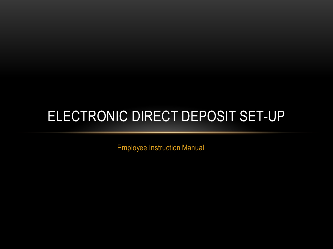# ELECTRONIC DIRECT DEPOSIT SET-UP

Employee Instruction Manual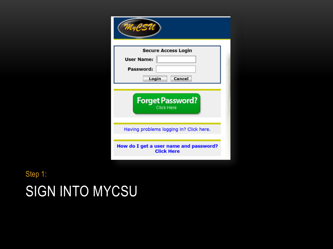| <b>Secure Access Login</b><br>User Name:<br>Password:<br>Cancel<br>Login |
|--------------------------------------------------------------------------|
| <b>Forget Password?</b><br><b>Click Here</b>                             |
| Having problems logging in? Click here.                                  |
| How do I get a user name and password?<br><b>Click Here</b>              |

### SIGN INTO MYCSU Step 1: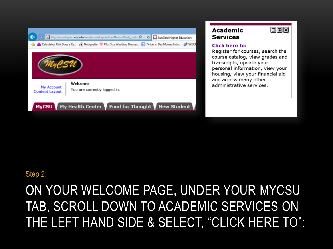#### 同国国 **Academic Services** http://orca1-prod.**ces.edu**/render.userLayoutRootNode.uP?uP\_root= Q v C and SunGard Higher Education Calculated Risk Does a Re... (1) Netiquette Mous Size Wedding Dresses... (1) Tinker v. Des Moines Inde... (2) SKECI **Click here to:** Register for courses, search the course catalog, view grades and transcripts, update your personal information, view your housing, view your financial aid and access many other Welcome administrative services. My Account You are currently logged in. **Content Layout** My Health Center Food for Thought New Student **MyCSU**

Step 2:

### ON YOUR WELCOME PAGE, UNDER YOUR MYCSU TAB, SCROLL DOWN TO ACADEMIC SERVICES ON THE LEFT HAND SIDE & SELECT, "CLICK HERE TO":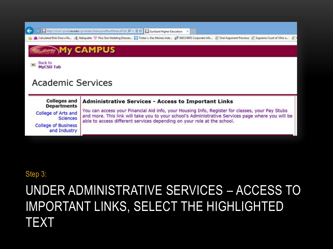http://orca1-prod.**ces.edu/**cp/render.Used.ayoutRootNode.uP/uF  $\rho$  +  $\cong$  C **[1]** SunGard Higher Education

Calculated Risk Does a Re... & Netiquette Plus Size Wedding Dresses... [2] Tinker v. Des Moines Inde... @ SKECHERS Corporate Info... @ Oral Argument Previews @ Supreme Court of Ohio a... @

**My CAMPUS** 

Back to **MyCSU Tab** 

←

#### **Academic Services**

**Colleges and Administrative Services - Access to Important Links Departments** 

College of Arts and **Sciences College of Business** and Industry

You can access your Financial Aid info, your Housing Info, Register for classes, your Pay Stubs and more. This link will take you to your school's Administrative Services page where you will be able to access different services depending on your role at the school.

#### Step 3:

### UNDER ADMINISTRATIVE SERVICES - ACCESS TO **IMPORTANT LINKS, SELECT THE HIGHLIGHTED** TEXT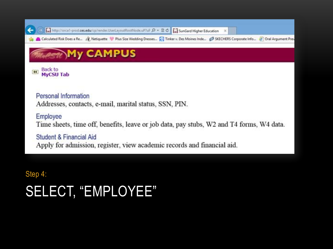http://orca1-prod.ces.edu/cp/render.UserLayoutRootNode.uP/uF , Q + 2 C | MinGard Higher Education

Calculated Risk Does a Re... 28, Netiquette Plus Size Wedding Dresses... 20 Tinker v. Des Moines Inde... @ SKECHERS Corporate Info... @ Oral Argument Pres

#### **My CAMPUS**

**Back to** 44 **MyCSU Tab** 

←

Personal Information Addresses, contacts, e-mail, marital status, SSN, PIN.

Employee Time sheets, time off, benefits, leave or job data, pay stubs, W2 and T4 forms, W4 data.

**Student & Financial Aid** Apply for admission, register, view academic records and financial aid.

Step 4:

## **SELECT, "EMPLOYEE"**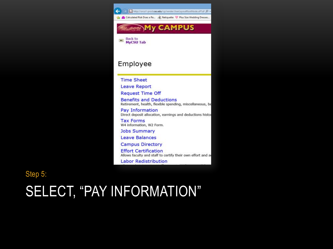

Step 5:

# SELECT, "PAY INFORMATION"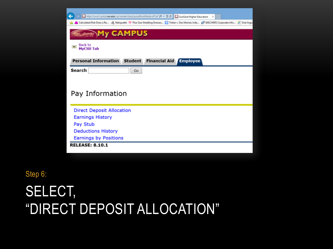| http://orca1-prod.ces.edu/cp/render.UserLayoutRootNode.uP?uF Q - 2 C       SunGard Higher Education X                                         |
|-----------------------------------------------------------------------------------------------------------------------------------------------|
| Calculated Risk Does a Re (1) Netiquette MP Plus Size Wedding Dresses (2) Tinker v. Des Moines Inde (2) SKECHERS Corporate Info (2) Oral Argu |
| <b>My CAMPUS</b>                                                                                                                              |
| <b>Back to</b><br>44<br><b>MyCSU Tab</b>                                                                                                      |
| <b>Personal Information</b><br><b>Student</b><br><b>Financial Aid</b><br><b>Employee</b>                                                      |
| Search<br>Go                                                                                                                                  |
|                                                                                                                                               |
|                                                                                                                                               |
| Pay Information                                                                                                                               |
|                                                                                                                                               |
| <b>Direct Deposit Allocation</b>                                                                                                              |
| <b>Earnings History</b>                                                                                                                       |
| Pay Stub                                                                                                                                      |
| <b>Deductions History</b>                                                                                                                     |
| <b>Earnings by Positions</b>                                                                                                                  |
| <b>RELEASE: 8.10.1</b>                                                                                                                        |
|                                                                                                                                               |

Step 6:

SELECT, "DIRECT DEPOSIT ALLOCATION"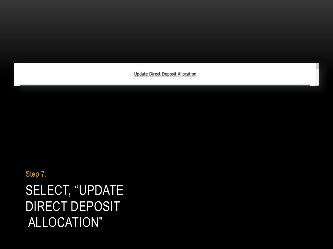**Update Direct Deposit Allocation** 

Step 7:

SELECT, "UPDATE DIRECT DEPOSIT ALLOCATION"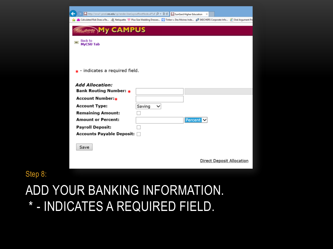|                                                                                                                                                                       | http://orca1-prod. <b>ces.edu</b> /cp/render.UserLayoutRootNode.uP?uF $\mathcal{D} = \mathbb{E} \circ \mathbb{C}$ sunGard Higher Education X          |
|-----------------------------------------------------------------------------------------------------------------------------------------------------------------------|-------------------------------------------------------------------------------------------------------------------------------------------------------|
|                                                                                                                                                                       | Calculated Risk Does a Re (B) Netiquette MP Plus Size Wedding Dresses [9] Tinker v. Des Moines Inde (B) SKECHERS Corporate Info (B) Oral Argument Pro |
| <b>My CAMPUS</b><br><b>Back to</b><br>$\overline{44}$<br><b>MyCSU Tab</b>                                                                                             |                                                                                                                                                       |
| * - indicates a required field.<br><b>Add Allocation:</b><br>Bank Routing Number: *                                                                                   |                                                                                                                                                       |
| Account Number: <sub>∗</sub><br><b>Account Type:</b><br><b>Remaining Amount:</b><br><b>Amount or Percent:</b><br>Payroll Deposit:<br><b>Accounts Payable Deposit:</b> | Saving<br>◡<br>Percent N                                                                                                                              |
| Save                                                                                                                                                                  | <b>Direct Deposit Allocation</b>                                                                                                                      |

#### Step 8:

### ADD YOUR BANKING INFORMATION. \* - INDICATES A REQUIRED FIELD.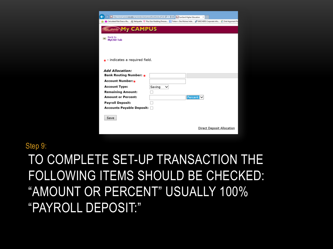| http://orca1-prod. <b>ces.edu</b> /cp/render.UserLayoutRootNode.uP?uF Q = B C   M SunGard Higher Education X                                      |        |         |                                  |  |
|---------------------------------------------------------------------------------------------------------------------------------------------------|--------|---------|----------------------------------|--|
| Calculated Risk Does a Re (8) Netiquette Mus Size Wedding Dresses (8) Tinker v. Des Moines Inde (8) SKECHERS Corporate Info (8) Oral Argument Pro |        |         |                                  |  |
| <b>My CAMPUS</b>                                                                                                                                  |        |         |                                  |  |
| <b>Back to</b><br>$\overline{44}$<br><b>MyCSU Tab</b>                                                                                             |        |         |                                  |  |
|                                                                                                                                                   |        |         |                                  |  |
| $\star$ - indicates a required field.                                                                                                             |        |         |                                  |  |
| <b>Add Allocation:</b>                                                                                                                            |        |         |                                  |  |
| Bank Routing Number: *                                                                                                                            |        |         |                                  |  |
| Account Number:∗                                                                                                                                  |        |         |                                  |  |
| <b>Account Type:</b>                                                                                                                              | Saving |         |                                  |  |
| <b>Remaining Amount:</b>                                                                                                                          |        |         |                                  |  |
| <b>Amount or Percent:</b>                                                                                                                         |        | Percent |                                  |  |
| <b>Payroll Deposit:</b>                                                                                                                           |        |         |                                  |  |
| <b>Accounts Payable Deposit:</b>                                                                                                                  |        |         |                                  |  |
| Save                                                                                                                                              |        |         |                                  |  |
|                                                                                                                                                   |        |         | <b>Direct Deposit Allocation</b> |  |

Step 9:

### TO COMPLETE SET-UP TRANSACTION THE FOLLOWING ITEMS SHOULD BE CHECKED: "AMOUNT OR PERCENT" USUALLY 100% "PAYROLL DEPOSIT:"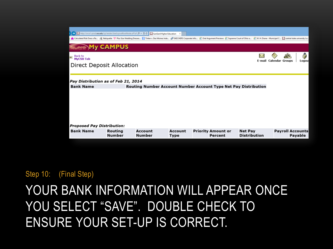| http://orca1-prod.ces.edu/cp/render.UserLayoutRootNode.uP?uF Q = 2 C   [ SunGard Higher Education X<br>A Calculated Risk Does a Re & Netiquette Mus Size Wedding Dresses M Tinker v. Des Moines Inde @ SKECHERS Corporate Info @ Oral Argument Previews @ Supreme Court of Ohio a @ W. H. Drane - Municipal C [1] c | <b>My CAMPUS</b>  |                                                                 |                 |  |                                      |                                       |                        |                         |         |  |
|---------------------------------------------------------------------------------------------------------------------------------------------------------------------------------------------------------------------------------------------------------------------------------------------------------------------|-------------------|-----------------------------------------------------------------|-----------------|--|--------------------------------------|---------------------------------------|------------------------|-------------------------|---------|--|
| <mark>ज</mark> ा Back to<br><b>MyCSU Tab</b><br>Direct Deposit Allocation                                                                                                                                                                                                                                           |                   |                                                                 |                 |  |                                      | E-mail                                | <b>Calendar Groups</b> |                         | Logou   |  |
| Pay Distribution as of Feb 21, 2014                                                                                                                                                                                                                                                                                 |                   |                                                                 |                 |  |                                      |                                       |                        |                         |         |  |
| <b>Bank Name</b>                                                                                                                                                                                                                                                                                                    |                   | Routing Number Account Number Account Type Net Pay Distribution |                 |  |                                      |                                       |                        |                         |         |  |
|                                                                                                                                                                                                                                                                                                                     |                   |                                                                 |                 |  |                                      |                                       |                        |                         |         |  |
| <b>Proposed Pay Distribution:</b>                                                                                                                                                                                                                                                                                   |                   |                                                                 |                 |  |                                      |                                       |                        |                         |         |  |
| <b>Bank Name</b>                                                                                                                                                                                                                                                                                                    | Routing<br>Number | Account<br>Number                                               | Account<br>Type |  | <b>Priority Amount or</b><br>Percent | <b>Net Pay</b><br><b>Distribution</b> |                        | <b>Payroll Accounts</b> | Payable |  |

Step 10: (Final Step)

### YOUR BANK INFORMATION WILL APPEAR ONCE YOU SELECT "SAVE". DOUBLE CHECK TO ENSURE YOUR SET-UP IS CORRECT.